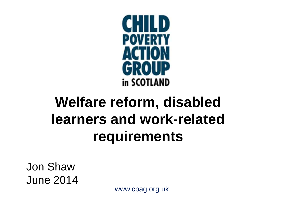

### **Welfare reform, disabled learners and work-related requirements**

Jon Shaw June 2014

www.cpag.org.uk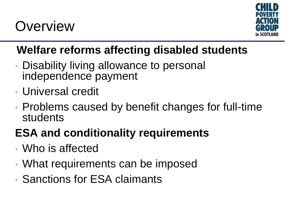### **Overview**



#### **Welfare reforms affecting disabled students**

- Disability living allowance to personal independence payment
- Universal credit
- Problems caused by benefit changes for full-time students

#### **ESA and conditionality requirements**

- Who is affected
- What requirements can be imposed
- Sanctions for ESA claimants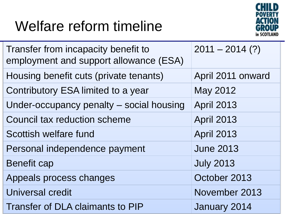### Welfare reform timeline



| Transfer from incapacity benefit to<br>employment and support allowance (ESA) | $2011 - 2014$ (?) |
|-------------------------------------------------------------------------------|-------------------|
| Housing benefit cuts (private tenants)                                        | April 2011 onward |
| Contributory ESA limited to a year                                            | May 2012          |
| Under-occupancy penalty – social housing                                      | <b>April 2013</b> |
| Council tax reduction scheme                                                  | <b>April 2013</b> |
| Scottish welfare fund                                                         | <b>April 2013</b> |
| Personal independence payment                                                 | <b>June 2013</b>  |
| Benefit cap                                                                   | <b>July 2013</b>  |
| Appeals process changes                                                       | October 2013      |
| Universal credit                                                              | November 2013     |
| <b>Transfer of DLA claimants to PIP</b>                                       | January 2014      |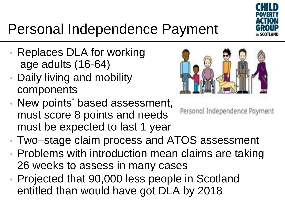

# Personal Independence Payment

- Replaces DLA for working age adults (16-64)
- Daily living and mobility components
- New points' based assessment, must score 8 points and needs must be expected to last 1 year



Personal Independence Payment

- Two–stage claim process and ATOS assessment
- Problems with introduction mean claims are taking 26 weeks to assess in many cases
- Projected that 90,000 less people in Scotland entitled than would have got DLA by 2018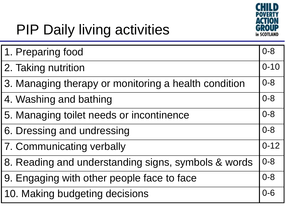

# PIP Daily living activities

| 1. Preparing food                                    | $0 - 8$  |
|------------------------------------------------------|----------|
| 2. Taking nutrition                                  | $0 - 10$ |
| 3. Managing therapy or monitoring a health condition | $0 - 8$  |
| 4. Washing and bathing                               | $0 - 8$  |
| 5. Managing toilet needs or incontinence             | $0 - 8$  |
| 6. Dressing and undressing                           | $0 - 8$  |
| 7. Communicating verbally                            | $0 - 12$ |
| 8. Reading and understanding signs, symbols & words  | $0 - 8$  |
| 9. Engaging with other people face to face           | $0 - 8$  |
| 10. Making budgeting decisions                       | $0 - 6$  |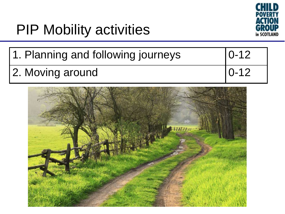

### PIP Mobility activities

| 1. Planning and following journeys | $10 - 12$ |
|------------------------------------|-----------|
| 2. Moving around                   | $ 0-12 $  |

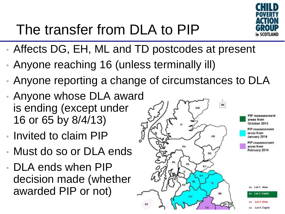

# The transfer from DLA to PIP

- Affects DG, EH, ML and TD postcodes at present
- Anyone reaching 16 (unless terminally ill)
- Anyone reporting a change of circumstances to DLA
- Anyone whose DLA award is ending (except under 16 or 65 by 8/4/13)
- Invited to claim PIP
- Must do so or DLA ends
- DLA ends when PIP decision made (whether awarded PIP or not)

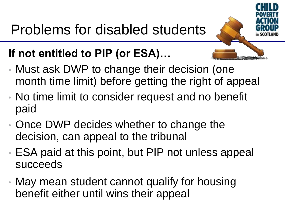

#### **If not entitled to PIP (or ESA)…**

- Must ask DWP to change their decision (one month time limit) before getting the right of appeal
- No time limit to consider request and no benefit paid
- Once DWP decides whether to change the decision, can appeal to the tribunal
- ESA paid at this point, but PIP not unless appeal succeeds
- May mean student cannot qualify for housing benefit either until wins their appeal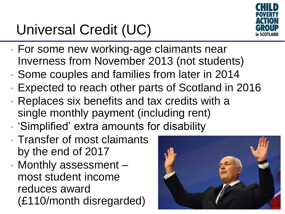# Universal Credit (UC)



- For some new working-age claimants near Inverness from November 2013 (not students)
- Some couples and families from later in 2014
- Expected to reach other parts of Scotland in 2016
- Replaces six benefits and tax credits with a single monthly payment (including rent)
- 'Simplified' extra amounts for disability
- Transfer of most claimants by the end of 2017
- Monthly assessment most student income reduces award (£110/month disregarded)

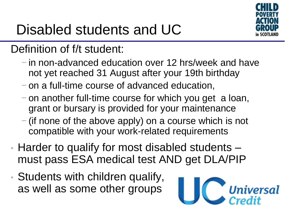

# Disabled students and UC

#### Definition of f/t student:

- − in non-advanced education over 12 hrs/week and have not yet reached 31 August after your 19th birthday
- − on a full-time course of advanced education,
- − on another full-time course for which you get a loan, grant or bursary is provided for your maintenance
- − (if none of the above apply) on a course which is not compatible with your work-related requirements
- Harder to qualify for most disabled students must pass ESA medical test AND get DLA/PIP
- Students with children qualify, as well as some other groups

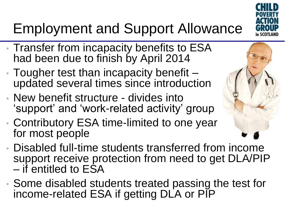

# Employment and Support Allowance

- Transfer from incapacity benefits to ESA had been due to finish by April 2014
- Tougher test than incapacity benefit updated several times since introduction
- New benefit structure divides into 'support' and 'work-related activity' group
- Contributory ESA time-limited to one year for most people
- Disabled full-time students transferred from income support receive protection from need to get DLA/PIP – if entitled to ESA
- Some disabled students treated passing the test for income-related ESA if getting DLA or PIP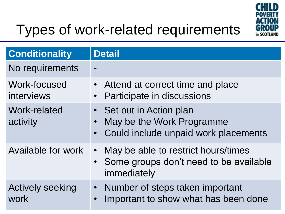

# Types of work-related requirements

| <b>Conditionality</b>           | <b>Detail</b>                                                                                                           |
|---------------------------------|-------------------------------------------------------------------------------------------------------------------------|
| No requirements                 |                                                                                                                         |
| Work-focused<br>interviews      | • Attend at correct time and place<br>Participate in discussions<br>$\bullet$                                           |
| Work-related<br>activity        | • Set out in Action plan<br>May be the Work Programme<br>$\bullet$<br>Could include unpaid work placements<br>$\bullet$ |
| Available for work              | May be able to restrict hours/times<br>$\bullet$<br>• Some groups don't need to be available<br>immediately             |
| <b>Actively seeking</b><br>work | • Number of steps taken important<br>Important to show what has been done<br>$\bullet$                                  |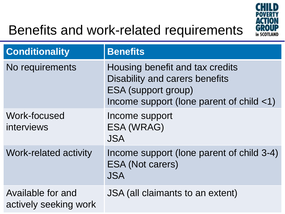

### Benefits and work-related requirements

| <b>Conditionality</b>                      | <b>Benefits</b>                                                                                                                                             |
|--------------------------------------------|-------------------------------------------------------------------------------------------------------------------------------------------------------------|
| No requirements                            | Housing benefit and tax credits<br>Disability and carers benefits<br><b>ESA (support group)</b><br>Income support (lone parent of child $\langle 1 \rangle$ |
| Work-focused<br>interviews                 | Income support<br>ESA (WRAG)<br><b>JSA</b>                                                                                                                  |
| <b>Work-related activity</b>               | Income support (lone parent of child 3-4)<br><b>ESA (Not carers)</b><br><b>JSA</b>                                                                          |
| Available for and<br>actively seeking work | JSA (all claimants to an extent)                                                                                                                            |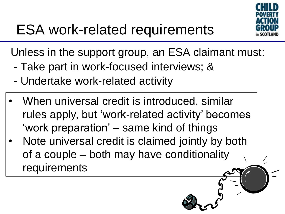

Unless in the support group, an ESA claimant must:

- Take part in work-focused interviews; &
- Undertake work-related activity
- When universal credit is introduced, similar rules apply, but 'work-related activity' becomes 'work preparation' – same kind of things
- Note universal credit is claimed jointly by both of a couple – both may have conditionality requirements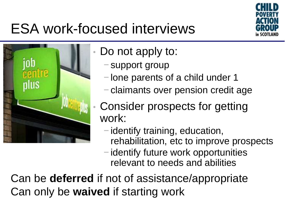

### ESA work-focused interviews



- Do not apply to:
	- − support group
	- − lone parents of a child under 1
	- − claimants over pension credit age
	- Consider prospects for getting work:
		- − identify training, education, rehabilitation, etc to improve prospects
		- − identify future work opportunities relevant to needs and abilities

Can be **deferred** if not of assistance/appropriate Can only be **waived** if starting work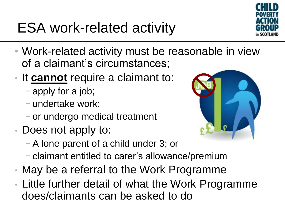ESA work-related activity



- Work-related activity must be reasonable in view of a claimant's circumstances;
- It **cannot** require a claimant to:
	- − apply for a job;
	- − undertake work;
	- − or undergo medical treatment
- Does not apply to:
	- −A lone parent of a child under 3; or
	- − claimant entitled to carer's allowance/premium
- May be a referral to the Work Programme
- Little further detail of what the Work Programme does/claimants can be asked to do

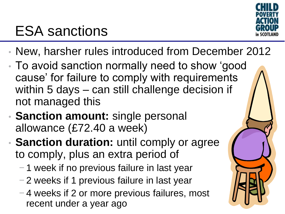

### ESA sanctions

- New, harsher rules introduced from December 2012
- To avoid sanction normally need to show 'good cause' for failure to comply with requirements within 5 days – can still challenge decision if not managed this
- **Sanction amount:** single personal allowance (£72.40 a week)
- **Sanction duration:** until comply or agree to comply, plus an extra period of
	- − 1 week if no previous failure in last year
	- − 2 weeks if 1 previous failure in last year
	- − 4 weeks if 2 or more previous failures, most recent under a year ago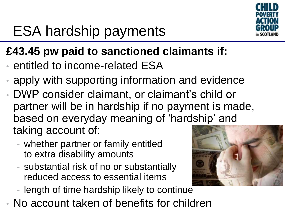

# ESA hardship payments

#### **£43.45 pw paid to sanctioned claimants if:**

- entitled to income-related ESA
- apply with supporting information and evidence
- DWP consider claimant, or claimant's child or partner will be in hardship if no payment is made, based on everyday meaning of 'hardship' and taking account of:
	- whether partner or family entitled to extra disability amounts
	- substantial risk of no or substantially reduced access to essential items
	- length of time hardship likely to continue
- No account taken of benefits for children

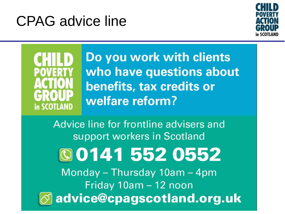### CPAG advice line





Do you work with clients who have questions about benefits, tax credits or welfare reform?

Advice line for frontline advisers and support workers in Scotland **©01415520552** Monday - Thursday 10am - 4pm Friday 10am - 12 noon advice@cpagscotland.org.uk